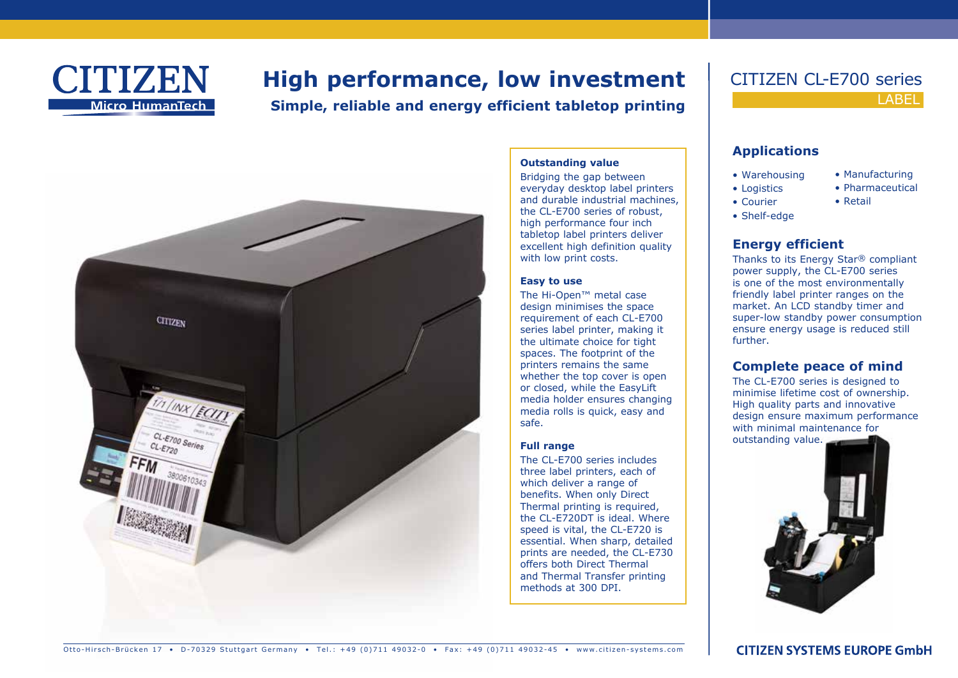

# **High performance, low investment**

**Simple, reliable and energy efficient tabletop printing**

**Outstanding value** Bridging the gap between everyday desktop label printers and durable industrial machines, the CL-E700 series of robust, high performance four inch tabletop label printers deliver excellent high definition quality

with low print costs.

The Hi-Open™ metal case design minimises the space requirement of each CL-E700 series label printer, making it the ultimate choice for tight spaces. The footprint of the printers remains the same whether the top cover is open or closed, while the EasyLift media holder ensures changing media rolls is quick, easy and

The CL-E700 series includes three label printers, each of which deliver a range of benefits. When only Direct Thermal printing is required, the CL-E720DT is ideal. Where speed is vital, the CL-E720 is essential. When sharp, detailed prints are needed, the CL-E730 offers both Direct Thermal and Thermal Transfer printing

methods at 300 DPI.

**Easy to use**

safe.

**Full range**



# **LABEL** CITIZEN CL-E700 series

#### **Applications**

- Warehousing • Logistics
- Manufacturing • Pharmaceutical
	- Retail
- Shelf-edge

• Courier

#### **Energy efficient**

Thanks to its Energy Star® compliant power supply, the CL-E700 series is one of the most environmentally friendly label printer ranges on the market. An LCD standby timer and super-low standby power consumption ensure energy usage is reduced still further.

#### **Complete peace of mind**

The CL-E700 series is designed to minimise lifetime cost of ownership. High quality parts and innovative design ensure maximum performance with minimal maintenance for





Otto-Hirsch-Brücken 17 • D-70329 Stuttgart Germany • Tel.: +49 (0)711 49032-0 • Fax: +49 (0)711 49032-45 • www.citizen-systems.com